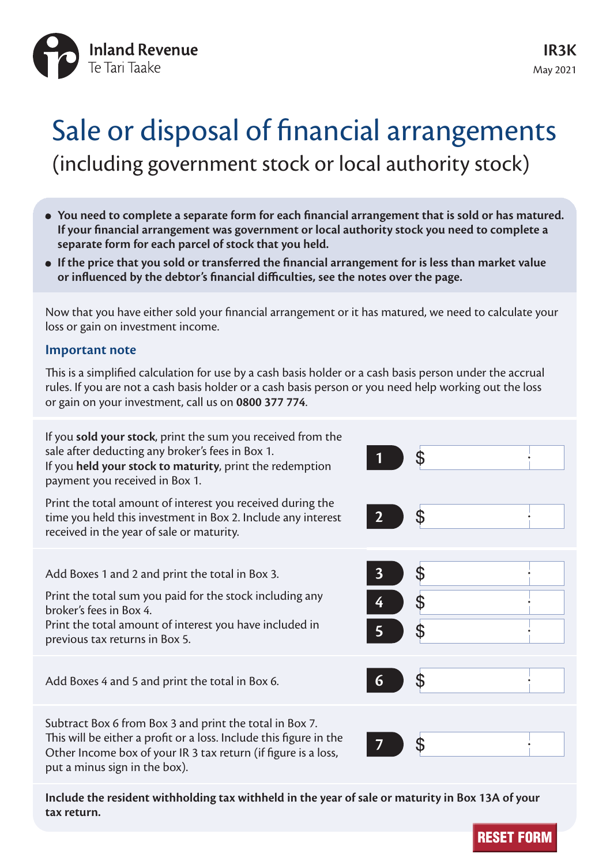

# Sale or disposal of financial arrangements (including government stock or local authority stock)

- **You need to complete a separate form for each financial arrangement that is sold or has matured. If your financial arrangement was government or local authority stock you need to complete a separate form for each parcel of stock that you held.**
- **If the price that you sold or transferred the financial arrangement for is less than market value or influenced by the debtor's financial difficulties, see the notes over the page.**

Now that you have either sold your financial arrangement or it has matured, we need to calculate your loss or gain on investment income.

#### **Important note**

This is a simplified calculation for use by a cash basis holder or a cash basis person under the accrual rules. If you are not a cash basis holder or a cash basis person or you need help working out the loss or gain on your investment, call us on **0800 377 774**.

If you **sold your stock**, print the sum you received from the sale after deducting any broker's fees in Box 1. If you **held your stock to maturity**, print the redemption payment you received in Box 1.

Print the total amount of interest you received during the time you held this investment in Box 2. Include any interest received in the year of sale or maturity.

Add Boxes 1 and 2 and print the total in Box 3.

Print the total sum you paid for the stock including any broker's fees in Box 4. **4**

Print the total amount of interest you have included in previous tax returns in Box 5. **5**

Add Boxes 4 and 5 and print the total in Box 6. **6**

Subtract Box 6 from Box 3 and print the total in Box 7. This will be either a profit or a loss. Include this figure in the Other Income box of your IR 3 tax return (if figure is a loss, put a minus sign in the box).

| $\overline{\mathbf{1}}$<br>$\sim$ )       | $\frac{1}{2}$ |
|-------------------------------------------|---------------|
| $2$ \$                                    |               |
| $\overline{\mathbf{3}}$<br>$\overline{4}$ | $\frac{1}{2}$ |
| 6                                         | $\oint$       |
|                                           | \$            |

**Include the resident withholding tax withheld in the year of sale or maturity in Box 13A of your tax return.**